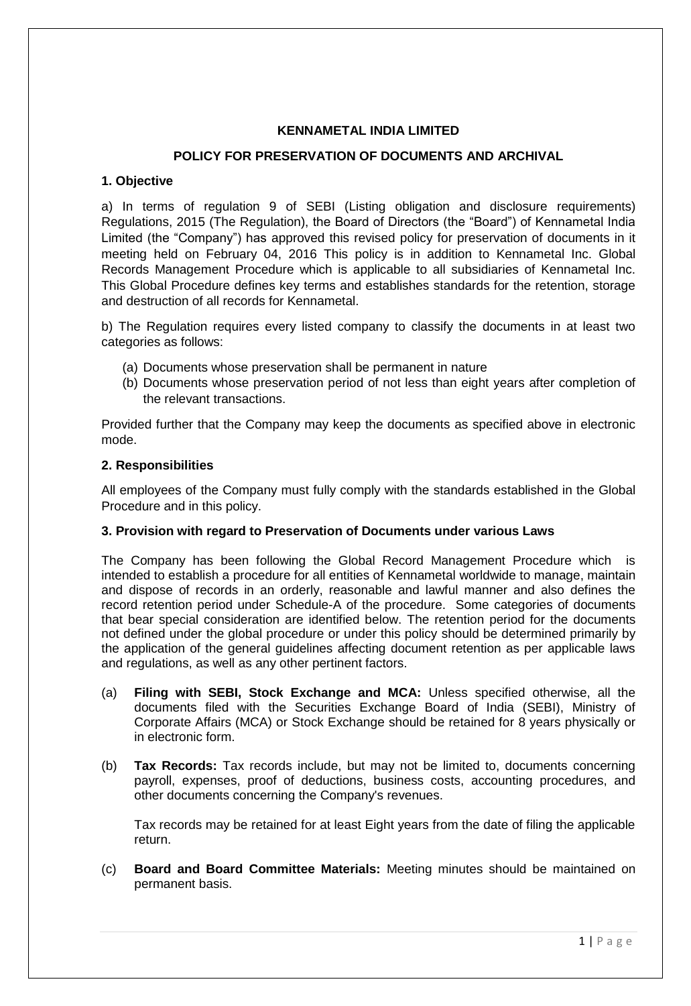# **KENNAMETAL INDIA LIMITED**

# **POLICY FOR PRESERVATION OF DOCUMENTS AND ARCHIVAL**

# **1. Objective**

a) In terms of regulation 9 of SEBI (Listing obligation and disclosure requirements) Regulations, 2015 (The Regulation), the Board of Directors (the "Board") of Kennametal India Limited (the "Company") has approved this revised policy for preservation of documents in it meeting held on February 04, 2016 This policy is in addition to Kennametal Inc. Global Records Management Procedure which is applicable to all subsidiaries of Kennametal Inc. This Global Procedure defines key terms and establishes standards for the retention, storage and destruction of all records for Kennametal.

b) The Regulation requires every listed company to classify the documents in at least two categories as follows:

- (a) Documents whose preservation shall be permanent in nature
- (b) Documents whose preservation period of not less than eight years after completion of the relevant transactions.

Provided further that the Company may keep the documents as specified above in electronic mode.

# **2. Responsibilities**

All employees of the Company must fully comply with the standards established in the Global Procedure and in this policy.

# **3. Provision with regard to Preservation of Documents under various Laws**

The Company has been following the Global Record Management Procedure which is intended to establish a procedure for all entities of Kennametal worldwide to manage, maintain and dispose of records in an orderly, reasonable and lawful manner and also defines the record retention period under Schedule-A of the procedure. Some categories of documents that bear special consideration are identified below. The retention period for the documents not defined under the global procedure or under this policy should be determined primarily by the application of the general guidelines affecting document retention as per applicable laws and regulations, as well as any other pertinent factors.

- (a) **Filing with SEBI, Stock Exchange and MCA:** Unless specified otherwise, all the documents filed with the Securities Exchange Board of India (SEBI), Ministry of Corporate Affairs (MCA) or Stock Exchange should be retained for 8 years physically or in electronic form.
- (b) **Tax Records:** Tax records include, but may not be limited to, documents concerning payroll, expenses, proof of deductions, business costs, accounting procedures, and other documents concerning the Company's revenues.

Tax records may be retained for at least Eight years from the date of filing the applicable return.

(c) **Board and Board Committee Materials:** Meeting minutes should be maintained on permanent basis.